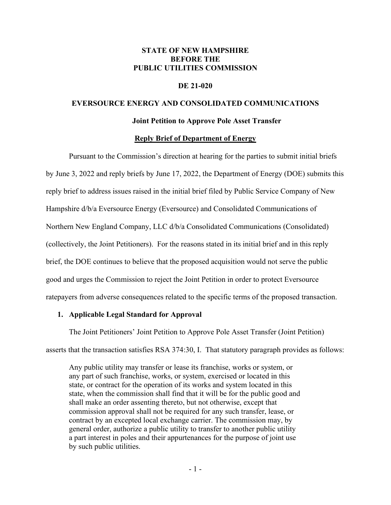## **STATE OF NEW HAMPSHIRE BEFORE THE PUBLIC UTILITIES COMMISSION**

## **DE 21-020**

#### **EVERSOURCE ENERGY AND CONSOLIDATED COMMUNICATIONS**

#### **Joint Petition to Approve Pole Asset Transfer**

### **Reply Brief of Department of Energy**

Pursuant to the Commission's direction at hearing for the parties to submit initial briefs by June 3, 2022 and reply briefs by June 17, 2022, the Department of Energy (DOE) submits this reply brief to address issues raised in the initial brief filed by Public Service Company of New Hampshire d/b/a Eversource Energy (Eversource) and Consolidated Communications of Northern New England Company, LLC d/b/a Consolidated Communications (Consolidated) (collectively, the Joint Petitioners). For the reasons stated in its initial brief and in this reply brief, the DOE continues to believe that the proposed acquisition would not serve the public good and urges the Commission to reject the Joint Petition in order to protect Eversource ratepayers from adverse consequences related to the specific terms of the proposed transaction.

#### **1. Applicable Legal Standard for Approval**

The Joint Petitioners' Joint Petition to Approve Pole Asset Transfer (Joint Petition) asserts that the transaction satisfies RSA 374:30, I. That statutory paragraph provides as follows:

Any public utility may transfer or lease its franchise, works or system, or any part of such franchise, works, or system, exercised or located in this state, or contract for the operation of its works and system located in this state, when the commission shall find that it will be for the public good and shall make an order assenting thereto, but not otherwise, except that commission approval shall not be required for any such transfer, lease, or contract by an excepted local exchange carrier. The commission may, by general order, authorize a public utility to transfer to another public utility a part interest in poles and their appurtenances for the purpose of joint use by such public utilities.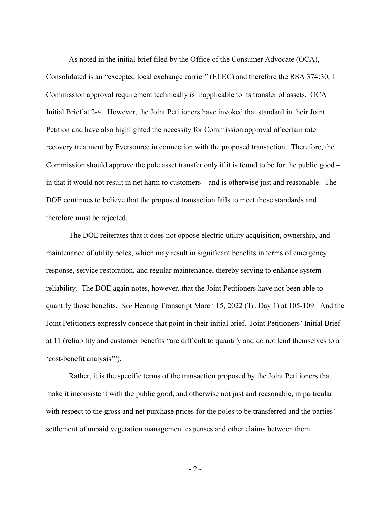As noted in the initial brief filed by the Office of the Consumer Advocate (OCA), Consolidated is an "excepted local exchange carrier" (ELEC) and therefore the RSA 374:30, I Commission approval requirement technically is inapplicable to its transfer of assets. OCA Initial Brief at 2-4. However, the Joint Petitioners have invoked that standard in their Joint Petition and have also highlighted the necessity for Commission approval of certain rate recovery treatment by Eversource in connection with the proposed transaction. Therefore, the Commission should approve the pole asset transfer only if it is found to be for the public good – in that it would not result in net harm to customers – and is otherwise just and reasonable. The DOE continues to believe that the proposed transaction fails to meet those standards and therefore must be rejected.

The DOE reiterates that it does not oppose electric utility acquisition, ownership, and maintenance of utility poles, which may result in significant benefits in terms of emergency response, service restoration, and regular maintenance, thereby serving to enhance system reliability. The DOE again notes, however, that the Joint Petitioners have not been able to quantify those benefits. *See* Hearing Transcript March 15, 2022 (Tr. Day 1) at 105-109. And the Joint Petitioners expressly concede that point in their initial brief. Joint Petitioners' Initial Brief at 11 (reliability and customer benefits "are difficult to quantify and do not lend themselves to a 'cost-benefit analysis'").

Rather, it is the specific terms of the transaction proposed by the Joint Petitioners that make it inconsistent with the public good, and otherwise not just and reasonable, in particular with respect to the gross and net purchase prices for the poles to be transferred and the parties' settlement of unpaid vegetation management expenses and other claims between them.

- 2 -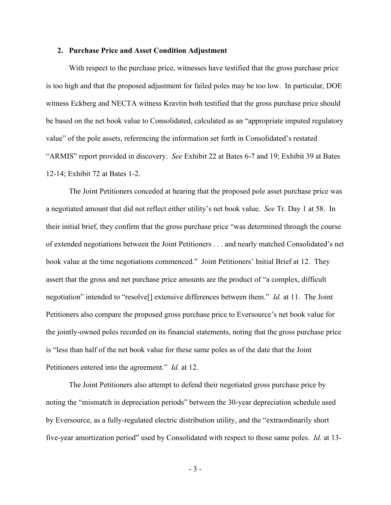#### **2. Purchase Price and Asset Condition Adjustment**

With respect to the purchase price, witnesses have testified that the gross purchase price is too high and that the proposed adjustment for failed poles may be too low. In particular, DOE witness Eckberg and NECTA witness Kravtin both testified that the gross purchase price should be based on the net book value to Consolidated, calculated as an "appropriate imputed regulatory value" of the pole assets, referencing the information set forth in Consolidated's restated "ARMIS" report provided in discovery. *See* Exhibit 22 at Bates 6-7 and 19; Exhibit 39 at Bates 12-14; Exhibit 72 at Bates 1-2.

The Joint Petitioners conceded at hearing that the proposed pole asset purchase price was a negotiated amount that did not reflect either utility's net book value. *See* Tr. Day 1 at 58. In their initial brief, they confirm that the gross purchase price "was determined through the course of extended negotiations between the Joint Petitioners . . . and nearly matched Consolidated's net book value at the time negotiations commenced." Joint Petitioners' Initial Brief at 12. They assert that the gross and net purchase price amounts are the product of "a complex, difficult negotiation" intended to "resolve[] extensive differences between them." *Id.* at 11. The Joint Petitioners also compare the proposed gross purchase price to Eversource's net book value for the jointly-owned poles recorded on its financial statements, noting that the gross purchase price is "less than half of the net book value for these same poles as of the date that the Joint Petitioners entered into the agreement." *Id.* at 12.

The Joint Petitioners also attempt to defend their negotiated gross purchase price by noting the "mismatch in depreciation periods" between the 30-year depreciation schedule used by Eversource, as a fully-regulated electric distribution utility, and the "extraordinarily short five-year amortization period" used by Consolidated with respect to those same poles. *Id.* at 13-

- 3 -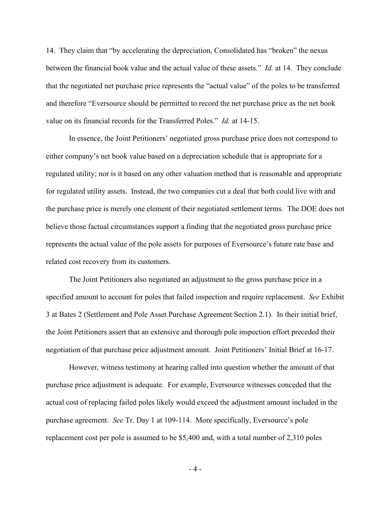14. They claim that "by accelerating the depreciation, Consolidated has "broken" the nexus between the financial book value and the actual value of these assets." *Id.* at 14. They conclude that the negotiated net purchase price represents the "actual value" of the poles to be transferred and therefore "Eversource should be permitted to record the net purchase price as the net book value on its financial records for the Transferred Poles." *Id.* at 14-15.

In essence, the Joint Petitioners' negotiated gross purchase price does not correspond to either company's net book value based on a depreciation schedule that is appropriate for a regulated utility; nor is it based on any other valuation method that is reasonable and appropriate for regulated utility assets. Instead, the two companies cut a deal that both could live with and the purchase price is merely one element of their negotiated settlement terms. The DOE does not believe those factual circumstances support a finding that the negotiated gross purchase price represents the actual value of the pole assets for purposes of Eversource's future rate base and related cost recovery from its customers.

The Joint Petitioners also negotiated an adjustment to the gross purchase price in a specified amount to account for poles that failed inspection and require replacement. *See* Exhibit 3 at Bates 2 (Settlement and Pole Asset Purchase Agreement Section 2.1). In their initial brief, the Joint Petitioners assert that an extensive and thorough pole inspection effort preceded their negotiation of that purchase price adjustment amount. Joint Petitioners' Initial Brief at 16-17.

However, witness testimony at hearing called into question whether the amount of that purchase price adjustment is adequate. For example, Eversource witnesses conceded that the actual cost of replacing failed poles likely would exceed the adjustment amount included in the purchase agreement. *See* Tr. Day 1 at 109-114. More specifically, Eversource's pole replacement cost per pole is assumed to be \$5,400 and, with a total number of 2,310 poles

- 4 -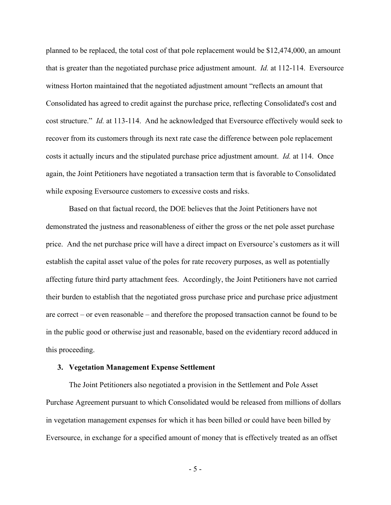planned to be replaced, the total cost of that pole replacement would be \$12,474,000, an amount that is greater than the negotiated purchase price adjustment amount. *Id.* at 112-114. Eversource witness Horton maintained that the negotiated adjustment amount "reflects an amount that Consolidated has agreed to credit against the purchase price, reflecting Consolidated's cost and cost structure." *Id.* at 113-114. And he acknowledged that Eversource effectively would seek to recover from its customers through its next rate case the difference between pole replacement costs it actually incurs and the stipulated purchase price adjustment amount. *Id.* at 114. Once again, the Joint Petitioners have negotiated a transaction term that is favorable to Consolidated while exposing Eversource customers to excessive costs and risks.

Based on that factual record, the DOE believes that the Joint Petitioners have not demonstrated the justness and reasonableness of either the gross or the net pole asset purchase price. And the net purchase price will have a direct impact on Eversource's customers as it will establish the capital asset value of the poles for rate recovery purposes, as well as potentially affecting future third party attachment fees. Accordingly, the Joint Petitioners have not carried their burden to establish that the negotiated gross purchase price and purchase price adjustment are correct – or even reasonable – and therefore the proposed transaction cannot be found to be in the public good or otherwise just and reasonable, based on the evidentiary record adduced in this proceeding.

#### **3. Vegetation Management Expense Settlement**

The Joint Petitioners also negotiated a provision in the Settlement and Pole Asset Purchase Agreement pursuant to which Consolidated would be released from millions of dollars in vegetation management expenses for which it has been billed or could have been billed by Eversource, in exchange for a specified amount of money that is effectively treated as an offset

- 5 -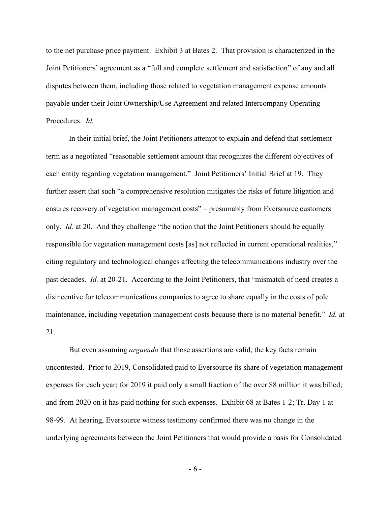to the net purchase price payment. Exhibit 3 at Bates 2. That provision is characterized in the Joint Petitioners' agreement as a "full and complete settlement and satisfaction" of any and all disputes between them, including those related to vegetation management expense amounts payable under their Joint Ownership/Use Agreement and related Intercompany Operating Procedures. *Id.*

In their initial brief, the Joint Petitioners attempt to explain and defend that settlement term as a negotiated "reasonable settlement amount that recognizes the different objectives of each entity regarding vegetation management." Joint Petitioners' Initial Brief at 19. They further assert that such "a comprehensive resolution mitigates the risks of future litigation and ensures recovery of vegetation management costs" – presumably from Eversource customers only. *Id.* at 20. And they challenge "the notion that the Joint Petitioners should be equally responsible for vegetation management costs [as] not reflected in current operational realities," citing regulatory and technological changes affecting the telecommunications industry over the past decades. *Id.* at 20-21. According to the Joint Petitioners, that "mismatch of need creates a disincentive for telecommunications companies to agree to share equally in the costs of pole maintenance, including vegetation management costs because there is no material benefit." *Id.* at 21.

But even assuming *arguendo* that those assertions are valid, the key facts remain uncontested. Prior to 2019, Consolidated paid to Eversource its share of vegetation management expenses for each year; for 2019 it paid only a small fraction of the over \$8 million it was billed; and from 2020 on it has paid nothing for such expenses. Exhibit 68 at Bates 1-2; Tr. Day 1 at 98-99. At hearing, Eversource witness testimony confirmed there was no change in the underlying agreements between the Joint Petitioners that would provide a basis for Consolidated

- 6 -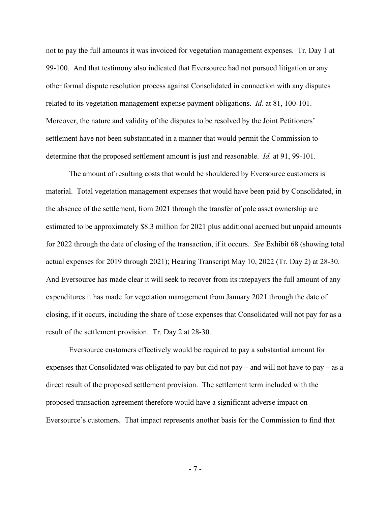not to pay the full amounts it was invoiced for vegetation management expenses. Tr. Day 1 at 99-100. And that testimony also indicated that Eversource had not pursued litigation or any other formal dispute resolution process against Consolidated in connection with any disputes related to its vegetation management expense payment obligations. *Id.* at 81, 100-101. Moreover, the nature and validity of the disputes to be resolved by the Joint Petitioners' settlement have not been substantiated in a manner that would permit the Commission to determine that the proposed settlement amount is just and reasonable. *Id.* at 91, 99-101.

The amount of resulting costs that would be shouldered by Eversource customers is material. Total vegetation management expenses that would have been paid by Consolidated, in the absence of the settlement, from 2021 through the transfer of pole asset ownership are estimated to be approximately \$8.3 million for 2021 plus additional accrued but unpaid amounts for 2022 through the date of closing of the transaction, if it occurs. *See* Exhibit 68 (showing total actual expenses for 2019 through 2021); Hearing Transcript May 10, 2022 (Tr. Day 2) at 28-30. And Eversource has made clear it will seek to recover from its ratepayers the full amount of any expenditures it has made for vegetation management from January 2021 through the date of closing, if it occurs, including the share of those expenses that Consolidated will not pay for as a result of the settlement provision. Tr. Day 2 at 28-30.

Eversource customers effectively would be required to pay a substantial amount for expenses that Consolidated was obligated to pay but did not pay – and will not have to pay – as a direct result of the proposed settlement provision. The settlement term included with the proposed transaction agreement therefore would have a significant adverse impact on Eversource's customers. That impact represents another basis for the Commission to find that

- 7 -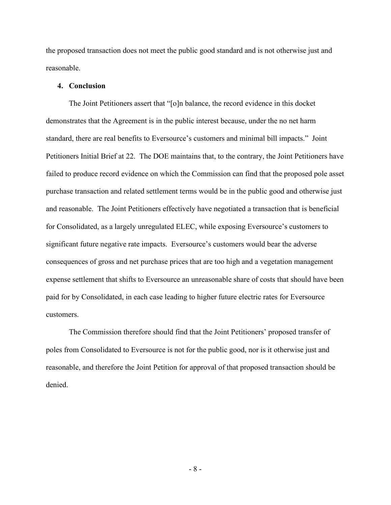the proposed transaction does not meet the public good standard and is not otherwise just and reasonable.

## **4. Conclusion**

The Joint Petitioners assert that "[o]n balance, the record evidence in this docket demonstrates that the Agreement is in the public interest because, under the no net harm standard, there are real benefits to Eversource's customers and minimal bill impacts." Joint Petitioners Initial Brief at 22. The DOE maintains that, to the contrary, the Joint Petitioners have failed to produce record evidence on which the Commission can find that the proposed pole asset purchase transaction and related settlement terms would be in the public good and otherwise just and reasonable. The Joint Petitioners effectively have negotiated a transaction that is beneficial for Consolidated, as a largely unregulated ELEC, while exposing Eversource's customers to significant future negative rate impacts. Eversource's customers would bear the adverse consequences of gross and net purchase prices that are too high and a vegetation management expense settlement that shifts to Eversource an unreasonable share of costs that should have been paid for by Consolidated, in each case leading to higher future electric rates for Eversource customers.

The Commission therefore should find that the Joint Petitioners' proposed transfer of poles from Consolidated to Eversource is not for the public good, nor is it otherwise just and reasonable, and therefore the Joint Petition for approval of that proposed transaction should be denied.

- 8 -